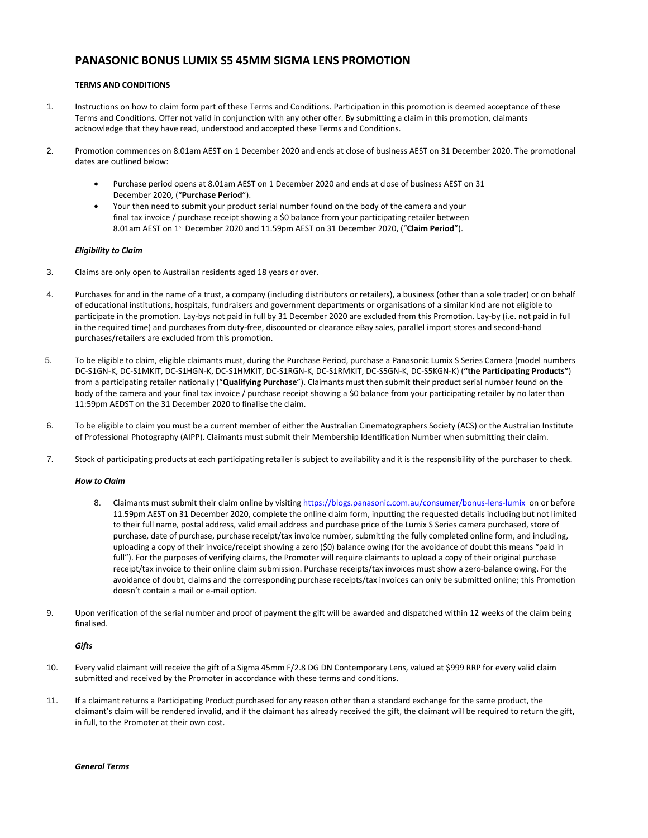# **PANASONIC BONUS LUMIX S5 45MM SIGMA LENS PROMOTION**

## **TERMS AND CONDITIONS**

- 1. Instructions on how to claim form part of these Terms and Conditions. Participation in this promotion is deemed acceptance of these Terms and Conditions. Offer not valid in conjunction with any other offer. By submitting a claim in this promotion, claimants acknowledge that they have read, understood and accepted these Terms and Conditions.
- 2. Promotion commences on 8.01am AEST on 1 December 2020 and ends at close of business AEST on 31 December 2020. The promotional dates are outlined below:
	- Purchase period opens at 8.01am AEST on 1 December 2020 and ends at close of business AEST on 31 December 2020, ("**Purchase Period**").
	- Your then need to submit your product serial number found on the body of the camera and your final tax invoice / purchase receipt showing a \$0 balance from your participating retailer between 8.01am AEST on 1 st December 2020 and 11.59pm AEST on 31 December 2020, ("**Claim Period**").

### *Eligibility to Claim*

- 3. Claims are only open to Australian residents aged 18 years or over.
- 4. Purchases for and in the name of a trust, a company (including distributors or retailers), a business (other than a sole trader) or on behalf of educational institutions, hospitals, fundraisers and government departments or organisations of a similar kind are not eligible to participate in the promotion. Lay-bys not paid in full by 31 December 2020 are excluded from this Promotion. Lay-by (i.e. not paid in full in the required time) and purchases from duty-free, discounted or clearance eBay sales, parallel import stores and second-hand purchases/retailers are excluded from this promotion.
- 5. To be eligible to claim, eligible claimants must, during the Purchase Period, purchase a Panasonic Lumix S Series Camera (model numbers DC-S1GN-K, DC-S1MKIT, DC-S1HGN-K, DC-S1HMKIT, DC-S1RGN-K, DC-S1RMKIT, DC-S5GN-K, DC-S5KGN-K) (**"the Participating Products"**) from a participating retailer nationally ("**Qualifying Purchase**"). Claimants must then submit their product serial number found on the body of the camera and your final tax invoice / purchase receipt showing a \$0 balance from your participating retailer by no later than 11:59pm AEDST on the 31 December 2020 to finalise the claim.
- 6. To be eligible to claim you must be a current member of either the Australian Cinematographers Society (ACS) or the Australian Institute of Professional Photography (AIPP). Claimants must submit their Membership Identification Number when submitting their claim.
- 7. Stock of participating products at each participating retailer is subject to availability and it is the responsibility of the purchaser to check.

#### *How to Claim*

- 8. Claimants must submit their claim online by visitin[g https://blogs.panasonic.com.au/consumer/bonus-lens-lumix](https://blogs.panasonic.com.au/consumer/bonus-lens-lumix) on or before 11.59pm AEST on 31 December 2020, complete the online claim form, inputting the requested details including but not limited to their full name, postal address, valid email address and purchase price of the Lumix S Series camera purchased, store of purchase, date of purchase, purchase receipt/tax invoice number, submitting the fully completed online form, and including, uploading a copy of their invoice/receipt showing a zero (\$0) balance owing (for the avoidance of doubt this means "paid in full"). For the purposes of verifying claims, the Promoter will require claimants to upload a copy of their original purchase receipt/tax invoice to their online claim submission. Purchase receipts/tax invoices must show a zero-balance owing. For the avoidance of doubt, claims and the corresponding purchase receipts/tax invoices can only be submitted online; this Promotion doesn't contain a mail or e-mail option.
- 9. Upon verification of the serial number and proof of payment the gift will be awarded and dispatched within 12 weeks of the claim being finalised.

### *Gifts*

- 10. Every valid claimant will receive the gift of a Sigma 45mm F/2.8 DG DN Contemporary Lens, valued at \$999 RRP for every valid claim submitted and received by the Promoter in accordance with these terms and conditions.
- 11. If a claimant returns a Participating Product purchased for any reason other than a standard exchange for the same product, the claimant's claim will be rendered invalid, and if the claimant has already received the gift, the claimant will be required to return the gift, in full, to the Promoter at their own cost.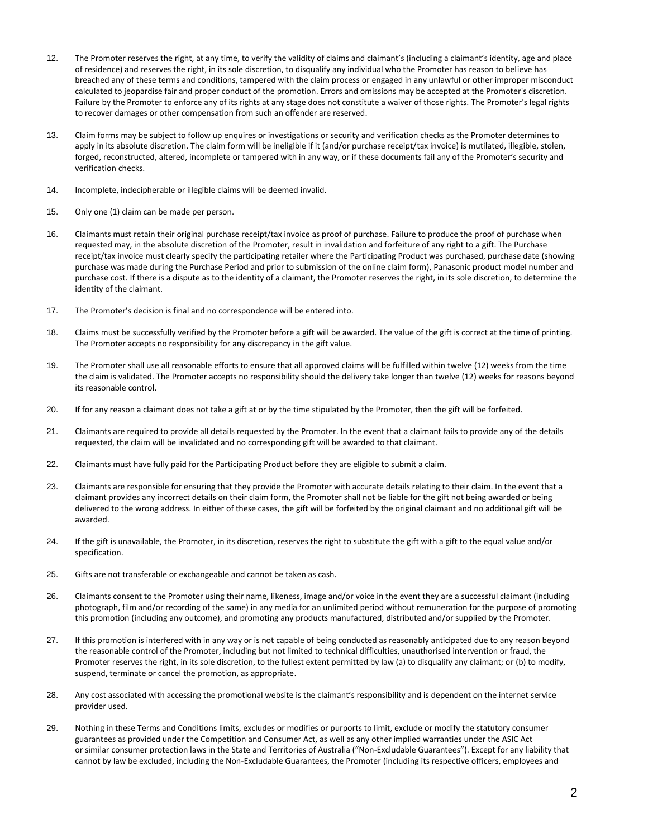- 12. The Promoter reserves the right, at any time, to verify the validity of claims and claimant's (including a claimant's identity, age and place of residence) and reserves the right, in its sole discretion, to disqualify any individual who the Promoter has reason to believe has breached any of these terms and conditions, tampered with the claim process or engaged in any unlawful or other improper misconduct calculated to jeopardise fair and proper conduct of the promotion. Errors and omissions may be accepted at the Promoter's discretion. Failure by the Promoter to enforce any of its rights at any stage does not constitute a waiver of those rights. The Promoter's legal rights to recover damages or other compensation from such an offender are reserved.
- 13. Claim forms may be subject to follow up enquires or investigations or security and verification checks as the Promoter determines to apply in its absolute discretion. The claim form will be ineligible if it (and/or purchase receipt/tax invoice) is mutilated, illegible, stolen, forged, reconstructed, altered, incomplete or tampered with in any way, or if these documents fail any of the Promoter's security and verification checks.
- 14. Incomplete, indecipherable or illegible claims will be deemed invalid.
- 15. Only one (1) claim can be made per person.
- 16. Claimants must retain their original purchase receipt/tax invoice as proof of purchase. Failure to produce the proof of purchase when requested may, in the absolute discretion of the Promoter, result in invalidation and forfeiture of any right to a gift. The Purchase receipt/tax invoice must clearly specify the participating retailer where the Participating Product was purchased, purchase date (showing purchase was made during the Purchase Period and prior to submission of the online claim form), Panasonic product model number and purchase cost. If there is a dispute as to the identity of a claimant, the Promoter reserves the right, in its sole discretion, to determine the identity of the claimant.
- 17. The Promoter's decision is final and no correspondence will be entered into.
- 18. Claims must be successfully verified by the Promoter before a gift will be awarded. The value of the gift is correct at the time of printing. The Promoter accepts no responsibility for any discrepancy in the gift value.
- 19. The Promoter shall use all reasonable efforts to ensure that all approved claims will be fulfilled within twelve (12) weeks from the time the claim is validated. The Promoter accepts no responsibility should the delivery take longer than twelve (12) weeks for reasons beyond its reasonable control.
- 20. If for any reason a claimant does not take a gift at or by the time stipulated by the Promoter, then the gift will be forfeited.
- 21. Claimants are required to provide all details requested by the Promoter. In the event that a claimant fails to provide any of the details requested, the claim will be invalidated and no corresponding gift will be awarded to that claimant.
- 22. Claimants must have fully paid for the Participating Product before they are eligible to submit a claim.
- 23. Claimants are responsible for ensuring that they provide the Promoter with accurate details relating to their claim. In the event that a claimant provides any incorrect details on their claim form, the Promoter shall not be liable for the gift not being awarded or being delivered to the wrong address. In either of these cases, the gift will be forfeited by the original claimant and no additional gift will be awarded.
- 24. If the gift is unavailable, the Promoter, in its discretion, reserves the right to substitute the gift with a gift to the equal value and/or specification.
- 25. Gifts are not transferable or exchangeable and cannot be taken as cash.
- 26. Claimants consent to the Promoter using their name, likeness, image and/or voice in the event they are a successful claimant (including photograph, film and/or recording of the same) in any media for an unlimited period without remuneration for the purpose of promoting this promotion (including any outcome), and promoting any products manufactured, distributed and/or supplied by the Promoter.
- 27. If this promotion is interfered with in any way or is not capable of being conducted as reasonably anticipated due to any reason beyond the reasonable control of the Promoter, including but not limited to technical difficulties, unauthorised intervention or fraud, the Promoter reserves the right, in its sole discretion, to the fullest extent permitted by law (a) to disqualify any claimant; or (b) to modify, suspend, terminate or cancel the promotion, as appropriate.
- 28. Any cost associated with accessing the promotional website is the claimant's responsibility and is dependent on the internet service provider used.
- 29. Nothing in these Terms and Conditions limits, excludes or modifies or purports to limit, exclude or modify the statutory consumer guarantees as provided under the Competition and Consumer Act, as well as any other implied warranties under the ASIC Act or similar consumer protection laws in the State and Territories of Australia ("Non-Excludable Guarantees"). Except for any liability that cannot by law be excluded, including the Non-Excludable Guarantees, the Promoter (including its respective officers, employees and